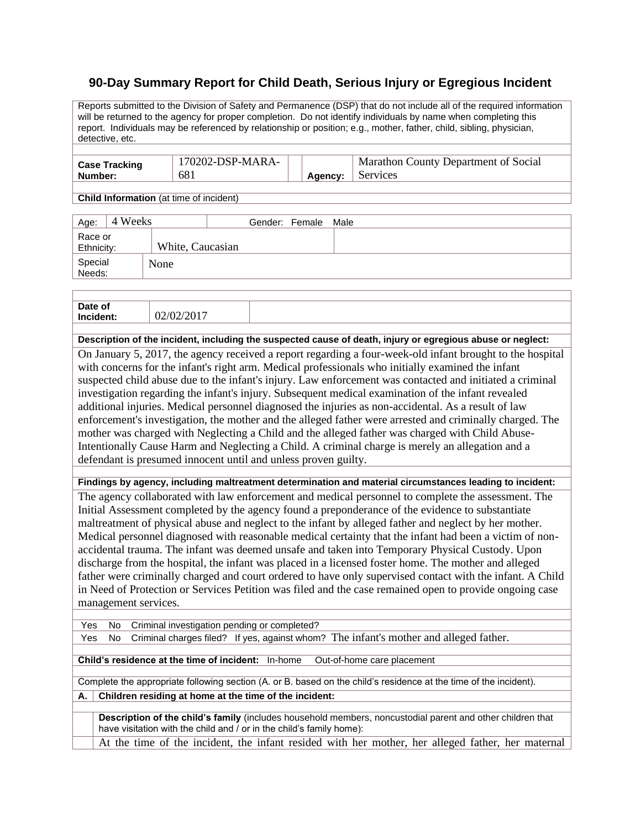## **90-Day Summary Report for Child Death, Serious Injury or Egregious Incident**

Reports submitted to the Division of Safety and Permanence (DSP) that do not include all of the required information will be returned to the agency for proper completion. Do not identify individuals by name when completing this report. Individuals may be referenced by relationship or position; e.g., mother, father, child, sibling, physician, detective, etc.

| <b>Case Tracking</b> | 170202-DSP-MARA- |         | Marathon County Department of Social |
|----------------------|------------------|---------|--------------------------------------|
| Number:              | 681              | Agency: | Services                             |
|                      |                  |         |                                      |

**Child Information** (at time of incident)

| 4 Weeks<br>Age:       |                  | Gender: Female Male |  |
|-----------------------|------------------|---------------------|--|
| Race or<br>Ethnicity: | White, Caucasian |                     |  |
| Special<br>Needs:     | None             |                     |  |

| Date of<br>Incident:                                                                                       | 02/02/2017 |  |
|------------------------------------------------------------------------------------------------------------|------------|--|
|                                                                                                            |            |  |
| Description of the incident, including the suspected cause of death, injury or egregious abuse or neglect: |            |  |

On January 5, 2017, the agency received a report regarding a four-week-old infant brought to the hospital with concerns for the infant's right arm. Medical professionals who initially examined the infant suspected child abuse due to the infant's injury. Law enforcement was contacted and initiated a criminal investigation regarding the infant's injury. Subsequent medical examination of the infant revealed additional injuries. Medical personnel diagnosed the injuries as non-accidental. As a result of law enforcement's investigation, the mother and the alleged father were arrested and criminally charged. The mother was charged with Neglecting a Child and the alleged father was charged with Child Abuse-Intentionally Cause Harm and Neglecting a Child. A criminal charge is merely an allegation and a defendant is presumed innocent until and unless proven guilty.

**Findings by agency, including maltreatment determination and material circumstances leading to incident:**

The agency collaborated with law enforcement and medical personnel to complete the assessment. The Initial Assessment completed by the agency found a preponderance of the evidence to substantiate maltreatment of physical abuse and neglect to the infant by alleged father and neglect by her mother. Medical personnel diagnosed with reasonable medical certainty that the infant had been a victim of nonaccidental trauma. The infant was deemed unsafe and taken into Temporary Physical Custody. Upon discharge from the hospital, the infant was placed in a licensed foster home. The mother and alleged father were criminally charged and court ordered to have only supervised contact with the infant. A Child in Need of Protection or Services Petition was filed and the case remained open to provide ongoing case management services.

Yes No Criminal investigation pending or completed?

Yes No Criminal charges filed? If yes, against whom? The infant's mother and alleged father.

**Child's residence at the time of incident:** In-home Out-of-home care placement

Complete the appropriate following section (A. or B. based on the child's residence at the time of the incident). **A. Children residing at home at the time of the incident:**

**Description of the child's family** (includes household members, noncustodial parent and other children that have visitation with the child and / or in the child's family home):

At the time of the incident, the infant resided with her mother, her alleged father, her maternal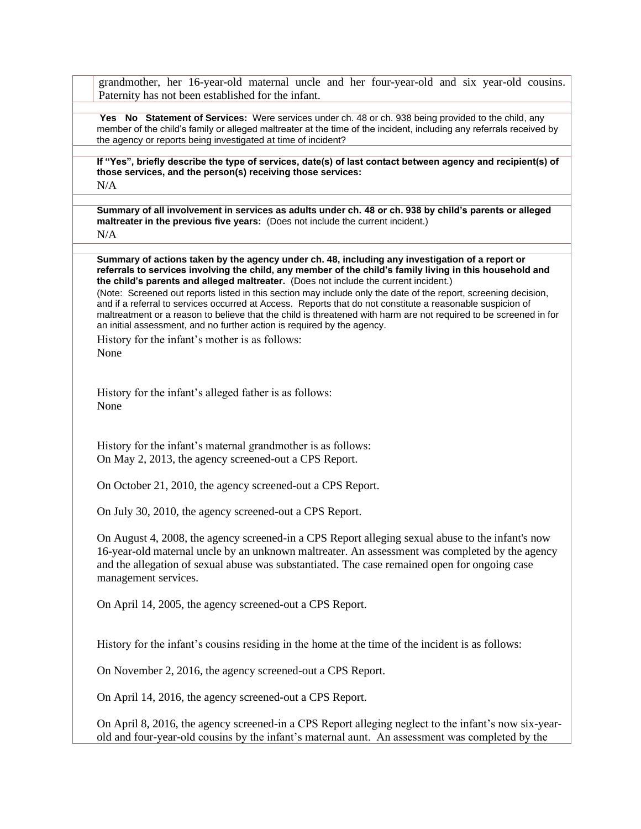grandmother, her 16-year-old maternal uncle and her four-year-old and six year-old cousins. Paternity has not been established for the infant.

**Yes No Statement of Services:** Were services under ch. 48 or ch. 938 being provided to the child, any member of the child's family or alleged maltreater at the time of the incident, including any referrals received by the agency or reports being investigated at time of incident?

**If "Yes", briefly describe the type of services, date(s) of last contact between agency and recipient(s) of those services, and the person(s) receiving those services:** N/A

**Summary of all involvement in services as adults under ch. 48 or ch. 938 by child's parents or alleged maltreater in the previous five years:** (Does not include the current incident.) N/A

**Summary of actions taken by the agency under ch. 48, including any investigation of a report or referrals to services involving the child, any member of the child's family living in this household and the child's parents and alleged maltreater.** (Does not include the current incident.)

(Note: Screened out reports listed in this section may include only the date of the report, screening decision, and if a referral to services occurred at Access. Reports that do not constitute a reasonable suspicion of maltreatment or a reason to believe that the child is threatened with harm are not required to be screened in for an initial assessment, and no further action is required by the agency.

History for the infant's mother is as follows: None

History for the infant's alleged father is as follows: None

History for the infant's maternal grandmother is as follows: On May 2, 2013, the agency screened-out a CPS Report.

On October 21, 2010, the agency screened-out a CPS Report.

On July 30, 2010, the agency screened-out a CPS Report.

On August 4, 2008, the agency screened-in a CPS Report alleging sexual abuse to the infant's now 16-year-old maternal uncle by an unknown maltreater. An assessment was completed by the agency and the allegation of sexual abuse was substantiated. The case remained open for ongoing case management services.

On April 14, 2005, the agency screened-out a CPS Report.

History for the infant's cousins residing in the home at the time of the incident is as follows:

On November 2, 2016, the agency screened-out a CPS Report.

On April 14, 2016, the agency screened-out a CPS Report.

On April 8, 2016, the agency screened-in a CPS Report alleging neglect to the infant's now six-yearold and four-year-old cousins by the infant's maternal aunt. An assessment was completed by the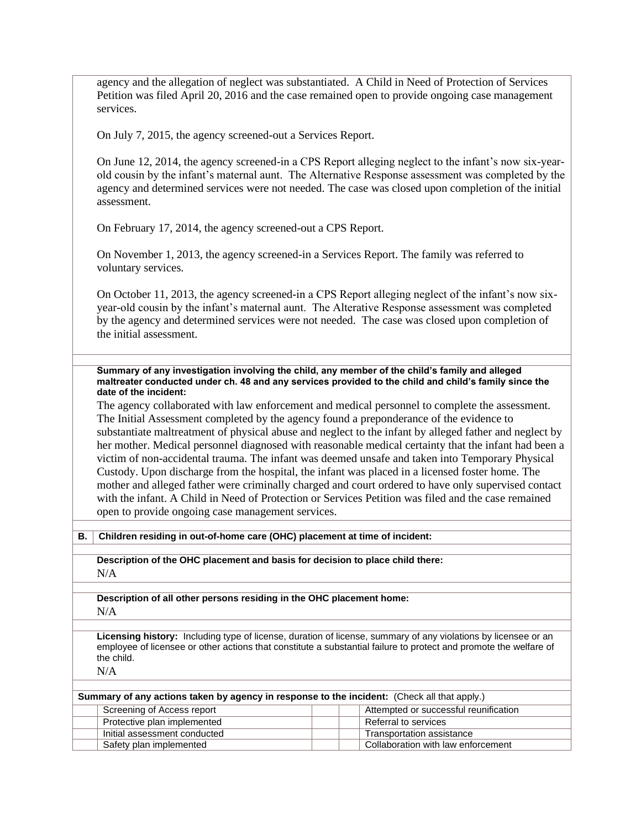agency and the allegation of neglect was substantiated. A Child in Need of Protection of Services Petition was filed April 20, 2016 and the case remained open to provide ongoing case management services.

On July 7, 2015, the agency screened-out a Services Report.

On June 12, 2014, the agency screened-in a CPS Report alleging neglect to the infant's now six-yearold cousin by the infant's maternal aunt. The Alternative Response assessment was completed by the agency and determined services were not needed. The case was closed upon completion of the initial assessment.

On February 17, 2014, the agency screened-out a CPS Report.

On November 1, 2013, the agency screened-in a Services Report. The family was referred to voluntary services.

On October 11, 2013, the agency screened-in a CPS Report alleging neglect of the infant's now sixyear-old cousin by the infant's maternal aunt. The Alterative Response assessment was completed by the agency and determined services were not needed. The case was closed upon completion of the initial assessment.

**Summary of any investigation involving the child, any member of the child's family and alleged maltreater conducted under ch. 48 and any services provided to the child and child's family since the date of the incident:**

The agency collaborated with law enforcement and medical personnel to complete the assessment. The Initial Assessment completed by the agency found a preponderance of the evidence to substantiate maltreatment of physical abuse and neglect to the infant by alleged father and neglect by her mother. Medical personnel diagnosed with reasonable medical certainty that the infant had been a victim of non-accidental trauma. The infant was deemed unsafe and taken into Temporary Physical Custody. Upon discharge from the hospital, the infant was placed in a licensed foster home. The mother and alleged father were criminally charged and court ordered to have only supervised contact with the infant. A Child in Need of Protection or Services Petition was filed and the case remained open to provide ongoing case management services.

**B. Children residing in out-of-home care (OHC) placement at time of incident:**

**Description of the OHC placement and basis for decision to place child there:** N/A

**Description of all other persons residing in the OHC placement home:** N/A

**Licensing history:** Including type of license, duration of license, summary of any violations by licensee or an employee of licensee or other actions that constitute a substantial failure to protect and promote the welfare of the child.

N/A

| <b>Summary of any actions taken by agency in response to the incident:</b> (Check all that apply.) |                              |  |                                       |
|----------------------------------------------------------------------------------------------------|------------------------------|--|---------------------------------------|
|                                                                                                    | Screening of Access report   |  | Attempted or successful reunification |
|                                                                                                    | Protective plan implemented  |  | Referral to services                  |
|                                                                                                    | Initial assessment conducted |  | Transportation assistance             |
|                                                                                                    | Safety plan implemented      |  | Collaboration with law enforcement    |